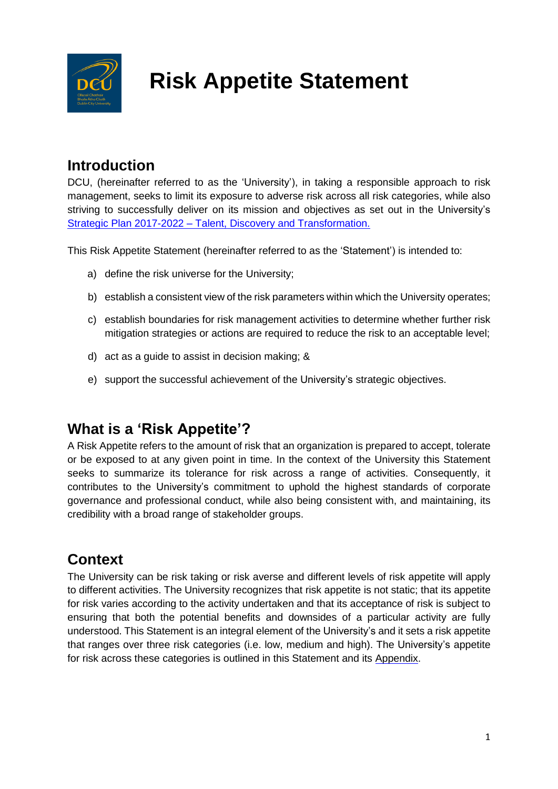

# **Risk Appetite Statement**

# **Introduction**

DCU, (hereinafter referred to as the 'University'), in taking a responsible approach to risk management, seeks to limit its exposure to adverse risk across all risk categories, while also striving to successfully deliver on its mission and objectives as set out in the University's Strategic Plan 2017-2022 – Talent, Discovery and [Transformation.](https://www.dcu.ie/qpo/Strategic-Plan.shtml)

This Risk Appetite Statement (hereinafter referred to as the 'Statement') is intended to:

- a) define the risk universe for the University;
- b) establish a consistent view of the risk parameters within which the University operates;
- c) establish boundaries for risk management activities to determine whether further risk mitigation strategies or actions are required to reduce the risk to an acceptable level;
- d) act as a guide to assist in decision making; &
- e) support the successful achievement of the University's strategic objectives.

# **What is a 'Risk Appetite'?**

A Risk Appetite refers to the amount of risk that an organization is prepared to accept, tolerate or be exposed to at any given point in time. In the context of the University this Statement seeks to summarize its tolerance for risk across a range of activities. Consequently, it contributes to the University's commitment to uphold the highest standards of corporate governance and professional conduct, while also being consistent with, and maintaining, its credibility with a broad range of stakeholder groups.

# **Context**

The University can be risk taking or risk averse and different levels of risk appetite will apply to different activities. The University recognizes that risk appetite is not static; that its appetite for risk varies according to the activity undertaken and that its acceptance of risk is subject to ensuring that both the potential benefits and downsides of a particular activity are fully understood. This Statement is an integral element of the University's and it sets a risk appetite that ranges over three risk categories (i.e. low, medium and high). The University's appetite for risk across these categories is outlined in this Statement and its Appendix.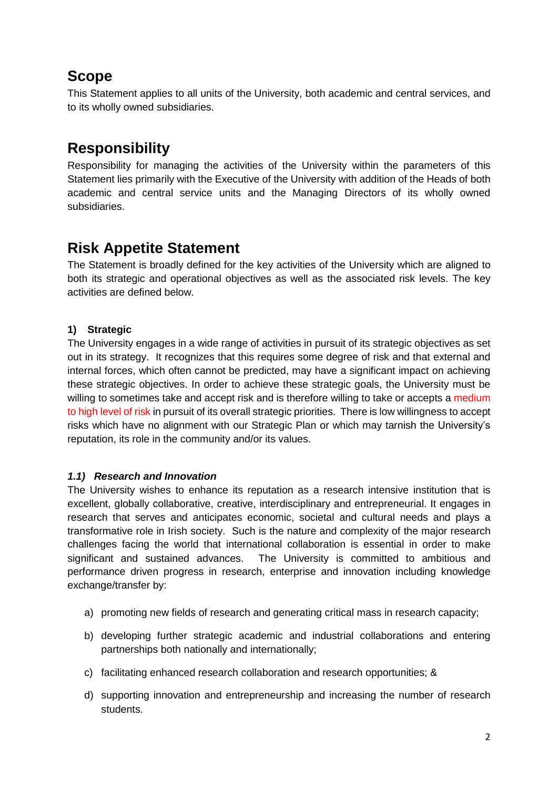# **Scope**

This Statement applies to all units of the University, both academic and central services, and to its wholly owned subsidiaries.

# **Responsibility**

Responsibility for managing the activities of the University within the parameters of this Statement lies primarily with the Executive of the University with addition of the Heads of both academic and central service units and the Managing Directors of its wholly owned subsidiaries.

## **Risk Appetite Statement**

The Statement is broadly defined for the key activities of the University which are aligned to both its strategic and operational objectives as well as the associated risk levels. The key activities are defined below.

### **1) Strategic**

The University engages in a wide range of activities in pursuit of its strategic objectives as set out in its strategy. It recognizes that this requires some degree of risk and that external and internal forces, which often cannot be predicted, may have a significant impact on achieving these strategic objectives. In order to achieve these strategic goals, the University must be willing to sometimes take and accept risk and is therefore willing to take or accepts a medium to high level of risk in pursuit of its overall strategic priorities. There is low willingness to accept risks which have no alignment with our Strategic Plan or which may tarnish the University's reputation, its role in the community and/or its values.

### *1.1) Research and Innovation*

The University wishes to enhance its reputation as a research intensive institution that is excellent, globally collaborative, creative, interdisciplinary and entrepreneurial. It engages in research that serves and anticipates economic, societal and cultural needs and plays a transformative role in Irish society. Such is the nature and complexity of the major research challenges facing the world that international collaboration is essential in order to make significant and sustained advances. The University is committed to ambitious and performance driven progress in research, enterprise and innovation including knowledge exchange/transfer by:

- a) promoting new fields of research and generating critical mass in research capacity;
- b) developing further strategic academic and industrial collaborations and entering partnerships both nationally and internationally;
- c) facilitating enhanced research collaboration and research opportunities; &
- d) supporting innovation and entrepreneurship and increasing the number of research students.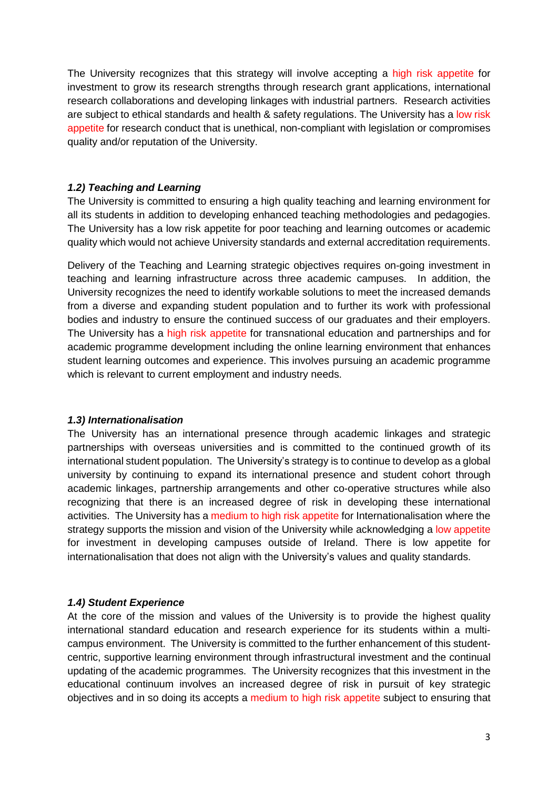The University recognizes that this strategy will involve accepting a high risk appetite for investment to grow its research strengths through research grant applications, international research collaborations and developing linkages with industrial partners. Research activities are subject to ethical standards and health & safety regulations. The University has a low risk appetite for research conduct that is unethical, non-compliant with legislation or compromises quality and/or reputation of the University.

#### *1.2) Teaching and Learning*

The University is committed to ensuring a high quality teaching and learning environment for all its students in addition to developing enhanced teaching methodologies and pedagogies. The University has a low risk appetite for poor teaching and learning outcomes or academic quality which would not achieve University standards and external accreditation requirements.

Delivery of the Teaching and Learning strategic objectives requires on-going investment in teaching and learning infrastructure across three academic campuses. In addition, the University recognizes the need to identify workable solutions to meet the increased demands from a diverse and expanding student population and to further its work with professional bodies and industry to ensure the continued success of our graduates and their employers. The University has a high risk appetite for transnational education and partnerships and for academic programme development including the online learning environment that enhances student learning outcomes and experience. This involves pursuing an academic programme which is relevant to current employment and industry needs.

#### *1.3) Internationalisation*

The University has an international presence through academic linkages and strategic partnerships with overseas universities and is committed to the continued growth of its international student population. The University's strategy is to continue to develop as a global university by continuing to expand its international presence and student cohort through academic linkages, partnership arrangements and other co-operative structures while also recognizing that there is an increased degree of risk in developing these international activities. The University has a medium to high risk appetite for Internationalisation where the strategy supports the mission and vision of the University while acknowledging a low appetite for investment in developing campuses outside of Ireland. There is low appetite for internationalisation that does not align with the University's values and quality standards.

#### *1.4) Student Experience*

At the core of the mission and values of the University is to provide the highest quality international standard education and research experience for its students within a multicampus environment. The University is committed to the further enhancement of this studentcentric, supportive learning environment through infrastructural investment and the continual updating of the academic programmes. The University recognizes that this investment in the educational continuum involves an increased degree of risk in pursuit of key strategic objectives and in so doing its accepts a medium to high risk appetite subject to ensuring that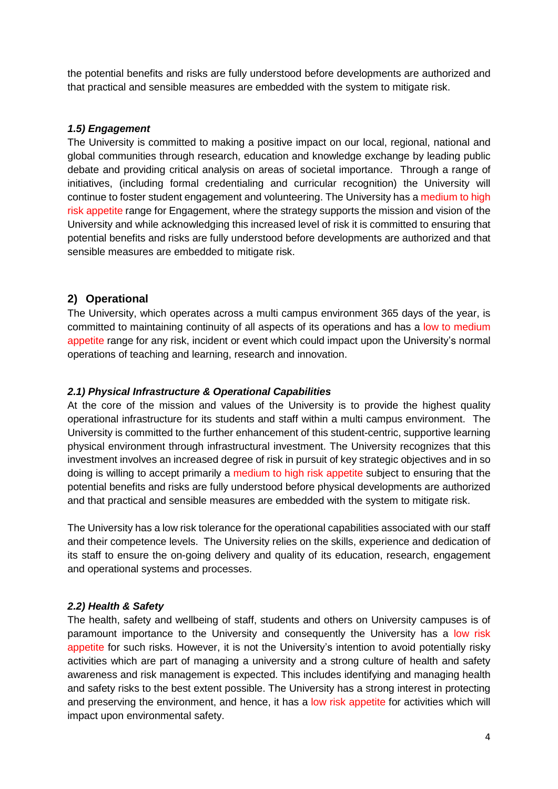the potential benefits and risks are fully understood before developments are authorized and that practical and sensible measures are embedded with the system to mitigate risk.

#### *1.5) Engagement*

The University is committed to making a positive impact on our local, regional, national and global communities through research, education and knowledge exchange by leading public debate and providing critical analysis on areas of societal importance. Through a range of initiatives, (including formal credentialing and curricular recognition) the University will continue to foster student engagement and volunteering. The University has a medium to high risk appetite range for Engagement, where the strategy supports the mission and vision of the University and while acknowledging this increased level of risk it is committed to ensuring that potential benefits and risks are fully understood before developments are authorized and that sensible measures are embedded to mitigate risk.

#### **2) Operational**

The University, which operates across a multi campus environment 365 days of the year, is committed to maintaining continuity of all aspects of its operations and has a low to medium appetite range for any risk, incident or event which could impact upon the University's normal operations of teaching and learning, research and innovation.

#### *2.1) Physical Infrastructure & Operational Capabilities*

At the core of the mission and values of the University is to provide the highest quality operational infrastructure for its students and staff within a multi campus environment. The University is committed to the further enhancement of this student-centric, supportive learning physical environment through infrastructural investment. The University recognizes that this investment involves an increased degree of risk in pursuit of key strategic objectives and in so doing is willing to accept primarily a medium to high risk appetite subject to ensuring that the potential benefits and risks are fully understood before physical developments are authorized and that practical and sensible measures are embedded with the system to mitigate risk.

The University has a low risk tolerance for the operational capabilities associated with our staff and their competence levels. The University relies on the skills, experience and dedication of its staff to ensure the on-going delivery and quality of its education, research, engagement and operational systems and processes.

#### *2.2) Health & Safety*

The health, safety and wellbeing of staff, students and others on University campuses is of paramount importance to the University and consequently the University has a low risk appetite for such risks. However, it is not the University's intention to avoid potentially risky activities which are part of managing a university and a strong culture of health and safety awareness and risk management is expected. This includes identifying and managing health and safety risks to the best extent possible. The University has a strong interest in protecting and preserving the environment, and hence, it has a low risk appetite for activities which will impact upon environmental safety.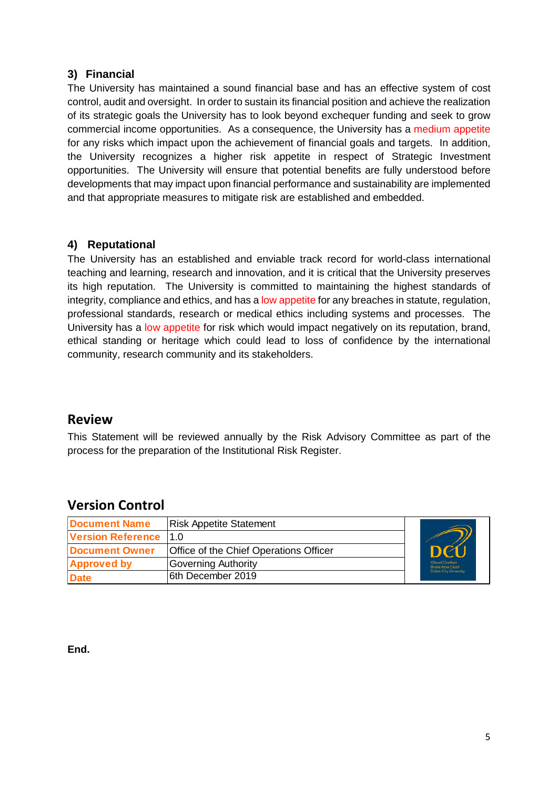### **3) Financial**

The University has maintained a sound financial base and has an effective system of cost control, audit and oversight. In order to sustain its financial position and achieve the realization of its strategic goals the University has to look beyond exchequer funding and seek to grow commercial income opportunities. As a consequence, the University has a medium appetite for any risks which impact upon the achievement of financial goals and targets. In addition, the University recognizes a higher risk appetite in respect of Strategic Investment opportunities. The University will ensure that potential benefits are fully understood before developments that may impact upon financial performance and sustainability are implemented and that appropriate measures to mitigate risk are established and embedded.

### **4) Reputational**

The University has an established and enviable track record for world-class international teaching and learning, research and innovation, and it is critical that the University preserves its high reputation. The University is committed to maintaining the highest standards of integrity, compliance and ethics, and has a low appetite for any breaches in statute, regulation, professional standards, research or medical ethics including systems and processes. The University has a low appetite for risk which would impact negatively on its reputation, brand, ethical standing or heritage which could lead to loss of confidence by the international community, research community and its stakeholders.

### **Review**

This Statement will be reviewed annually by the Risk Advisory Committee as part of the process for the preparation of the Institutional Risk Register.

### **Version Control**

| <b>Document Name</b>         | <b>Risk Appetite Statement</b>         |                                                |
|------------------------------|----------------------------------------|------------------------------------------------|
| <b>Version Reference 1.0</b> |                                        |                                                |
| <b>Document Owner</b>        | Office of the Chief Operations Officer | <b>DCL</b>                                     |
| <b>Approved by</b>           | Governing Authority                    | Ollscoil Chathair<br><b>Bhaile Átha Cliath</b> |
| <b>Date</b>                  | 6th December 2019                      | Dublin City University                         |

**End.**